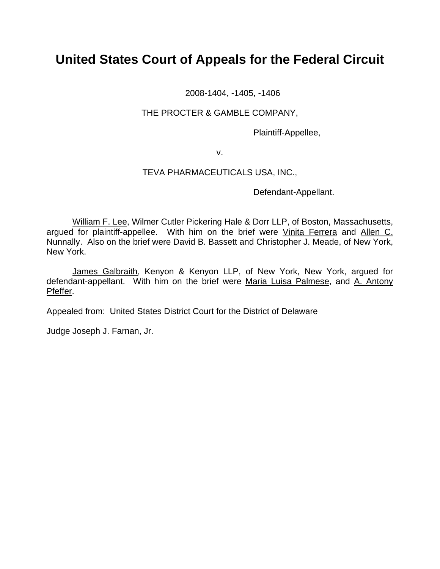# **United States Court of Appeals for the Federal Circuit**

2008-1404, -1405, -1406

## THE PROCTER & GAMBLE COMPANY,

Plaintiff-Appellee,

v.

# TEVA PHARMACEUTICALS USA, INC.,

Defendant-Appellant.

William F. Lee, Wilmer Cutler Pickering Hale & Dorr LLP, of Boston, Massachusetts, argued for plaintiff-appellee. With him on the brief were Vinita Ferrera and Allen C. Nunnally. Also on the brief were David B. Bassett and Christopher J. Meade, of New York, New York.

James Galbraith, Kenyon & Kenyon LLP, of New York, New York, argued for defendant-appellant. With him on the brief were Maria Luisa Palmese, and A. Antony Pfeffer.

Appealed from: United States District Court for the District of Delaware

Judge Joseph J. Farnan, Jr.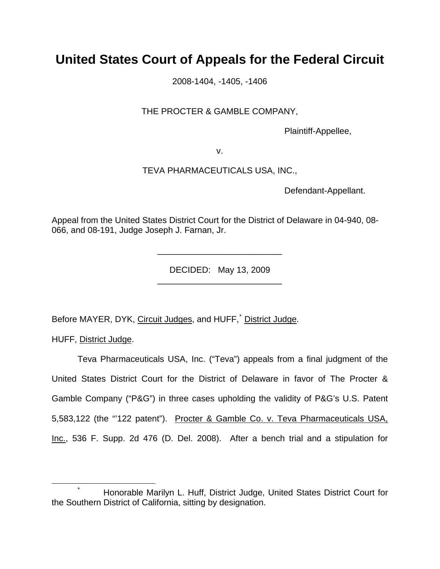# **United States Court of Appeals for the Federal Circuit**

2008-1404, -1405, -1406

# THE PROCTER & GAMBLE COMPANY,

Plaintiff-Appellee,

v.

## TEVA PHARMACEUTICALS USA, INC.,

Defendant-Appellant.

Appeal from the United States District Court for the District of Delaware in 04-940, 08- 066, and 08-191, Judge Joseph J. Farnan, Jr.

> DECIDED: May 13, 2009 \_\_\_\_\_\_\_\_\_\_\_\_\_\_\_\_\_\_\_\_\_\_\_\_\_\_

> \_\_\_\_\_\_\_\_\_\_\_\_\_\_\_\_\_\_\_\_\_\_\_\_\_\_

Before MAYER, DYK, Circuit Judges, and HUFF, District Judge.

HUFF, District Judge.

Teva Pharmaceuticals USA, Inc. ("Teva") appeals from a final judgment of the United States District Court for the District of Delaware in favor of The Procter & Gamble Company ("P&G") in three cases upholding the validity of P&G's U.S. Patent 5,583,122 (the "'122 patent"). Procter & Gamble Co. v. Teva Pharmaceuticals USA, Inc., 536 F. Supp. 2d 476 (D. Del. 2008). After a bench trial and a stipulation for

<span id="page-1-0"></span> <sup>\*</sup> Honorable Marilyn L. Huff, District Judge, United States District Court for the Southern District of California, sitting by designation.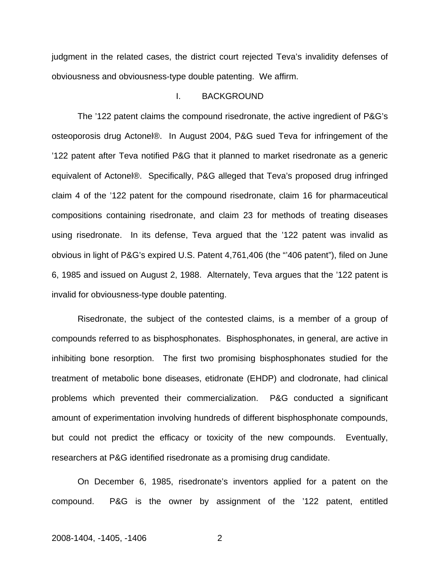judgment in the related cases, the district court rejected Teva's invalidity defenses of obviousness and obviousness-type double patenting. We affirm.

## I. BACKGROUND

 The '122 patent claims the compound risedronate, the active ingredient of P&G's osteoporosis drug Actonel®. In August 2004, P&G sued Teva for infringement of the '122 patent after Teva notified P&G that it planned to market risedronate as a generic equivalent of Actonel®. Specifically, P&G alleged that Teva's proposed drug infringed claim 4 of the '122 patent for the compound risedronate, claim 16 for pharmaceutical compositions containing risedronate, and claim 23 for methods of treating diseases using risedronate. In its defense, Teva argued that the '122 patent was invalid as obvious in light of P&G's expired U.S. Patent 4,761,406 (the "'406 patent"), filed on June 6, 1985 and issued on August 2, 1988. Alternately, Teva argues that the '122 patent is invalid for obviousness-type double patenting.

 Risedronate, the subject of the contested claims, is a member of a group of compounds referred to as bisphosphonates. Bisphosphonates, in general, are active in inhibiting bone resorption. The first two promising bisphosphonates studied for the treatment of metabolic bone diseases, etidronate (EHDP) and clodronate, had clinical problems which prevented their commercialization. P&G conducted a significant amount of experimentation involving hundreds of different bisphosphonate compounds, but could not predict the efficacy or toxicity of the new compounds. Eventually, researchers at P&G identified risedronate as a promising drug candidate.

On December 6, 1985, risedronate's inventors applied for a patent on the compound. P&G is the owner by assignment of the '122 patent, entitled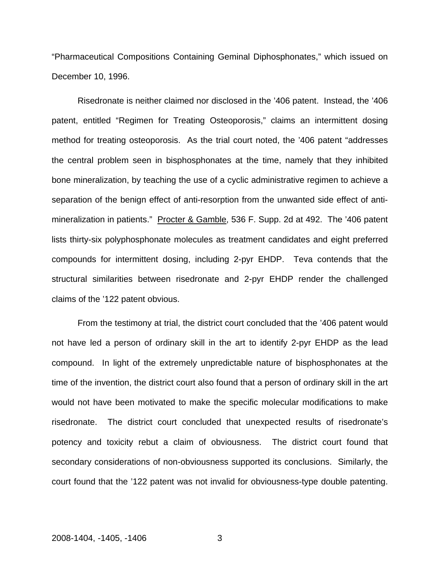"Pharmaceutical Compositions Containing Geminal Diphosphonates," which issued on December 10, 1996.

Risedronate is neither claimed nor disclosed in the '406 patent. Instead, the '406 patent, entitled "Regimen for Treating Osteoporosis," claims an intermittent dosing method for treating osteoporosis. As the trial court noted, the '406 patent "addresses the central problem seen in bisphosphonates at the time, namely that they inhibited bone mineralization, by teaching the use of a cyclic administrative regimen to achieve a separation of the benign effect of anti-resorption from the unwanted side effect of antimineralization in patients." Procter & Gamble, 536 F. Supp. 2d at 492. The '406 patent lists thirty-six polyphosphonate molecules as treatment candidates and eight preferred compounds for intermittent dosing, including 2-pyr EHDP. Teva contends that the structural similarities between risedronate and 2-pyr EHDP render the challenged claims of the '122 patent obvious.

 From the testimony at trial, the district court concluded that the '406 patent would not have led a person of ordinary skill in the art to identify 2-pyr EHDP as the lead compound. In light of the extremely unpredictable nature of bisphosphonates at the time of the invention, the district court also found that a person of ordinary skill in the art would not have been motivated to make the specific molecular modifications to make risedronate. The district court concluded that unexpected results of risedronate's potency and toxicity rebut a claim of obviousness. The district court found that secondary considerations of non-obviousness supported its conclusions. Similarly, the court found that the '122 patent was not invalid for obviousness-type double patenting.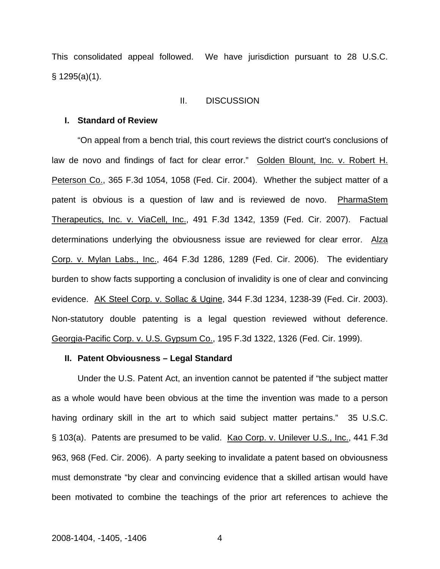This consolidated appeal followed. We have jurisdiction pursuant to 28 U.S.C. § 1295(a)(1).

#### II. DISCUSSION

#### **I. Standard of Review**

"On appeal from a bench trial, this court reviews the district court's conclusions of law de novo and findings of fact for clear error." Golden Blount, Inc. v. Robert H. Peterson Co., 365 F.3d 1054, 1058 (Fed. Cir. 2004). Whether the subject matter of a patent is obvious is a question of law and is reviewed de novo. PharmaStem Therapeutics, Inc. v. ViaCell, Inc., 491 F.3d 1342, 1359 (Fed. Cir. 2007). Factual determinations underlying the obviousness issue are reviewed for clear error. Alza Corp. v. Mylan Labs., Inc., 464 F.3d 1286, 1289 (Fed. Cir. 2006). The evidentiary burden to show facts supporting a conclusion of invalidity is one of clear and convincing evidence. AK Steel Corp. v. Sollac & Ugine, 344 F.3d 1234, 1238-39 (Fed. Cir. 2003). Non-statutory double patenting is a legal question reviewed without deference. Georgia-Pacific Corp. v. U.S. Gypsum Co., 195 F.3d 1322, 1326 (Fed. Cir. 1999).

#### **II. Patent Obviousness – Legal Standard**

Under the U.S. Patent Act, an invention cannot be patented if "the subject matter as a whole would have been obvious at the time the invention was made to a person having ordinary skill in the art to which said subject matter pertains." 35 U.S.C. § 103(a). Patents are presumed to be valid. Kao Corp. v. Unilever U.S., Inc., 441 F.3d 963, 968 (Fed. Cir. 2006). A party seeking to invalidate a patent based on obviousness must demonstrate "by clear and convincing evidence that a skilled artisan would have been motivated to combine the teachings of the prior art references to achieve the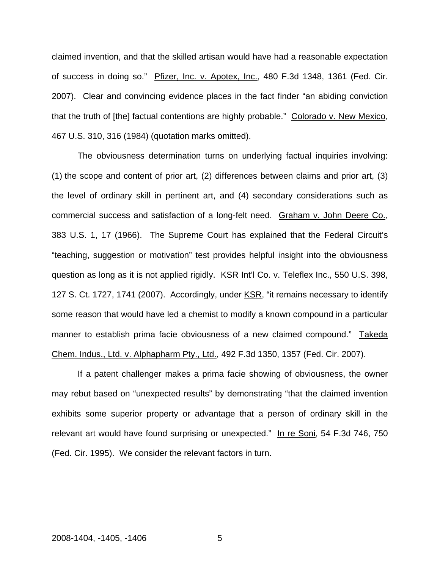claimed invention, and that the skilled artisan would have had a reasonable expectation of success in doing so." Pfizer, Inc. v. Apotex, Inc., 480 F.3d 1348, 1361 (Fed. Cir. 2007). Clear and convincing evidence places in the fact finder "an abiding conviction that the truth of [the] factual contentions are highly probable." Colorado v. New Mexico, 467 U.S. 310, 316 (1984) (quotation marks omitted).

The obviousness determination turns on underlying factual inquiries involving: (1) the scope and content of prior art, (2) differences between claims and prior art, (3) the level of ordinary skill in pertinent art, and (4) secondary considerations such as commercial success and satisfaction of a long-felt need. Graham v. John Deere Co., 383 U.S. 1, 17 (1966). The Supreme Court has explained that the Federal Circuit's "teaching, suggestion or motivation" test provides helpful insight into the obviousness question as long as it is not applied rigidly. KSR Int'l Co. v. Teleflex Inc., 550 U.S. 398, 127 S. Ct. 1727, 1741 (2007). Accordingly, under KSR, "it remains necessary to identify some reason that would have led a chemist to modify a known compound in a particular manner to establish prima facie obviousness of a new claimed compound." Takeda Chem. Indus., Ltd. v. Alphapharm Pty., Ltd., 492 F.3d 1350, 1357 (Fed. Cir. 2007).

If a patent challenger makes a prima facie showing of obviousness, the owner may rebut based on "unexpected results" by demonstrating "that the claimed invention exhibits some superior property or advantage that a person of ordinary skill in the relevant art would have found surprising or unexpected." In re Soni, 54 F.3d 746, 750 (Fed. Cir. 1995). We consider the relevant factors in turn.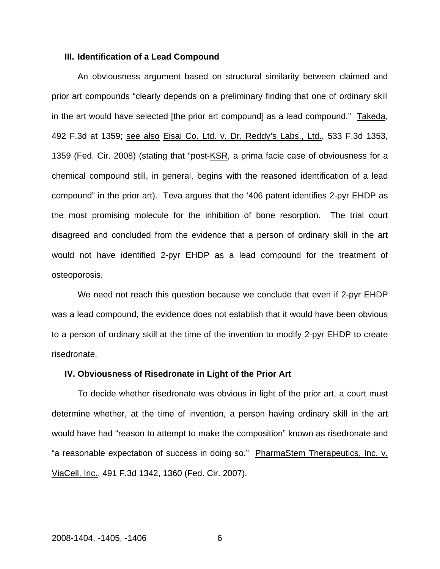#### **III. Identification of a Lead Compound**

An obviousness argument based on structural similarity between claimed and prior art compounds "clearly depends on a preliminary finding that one of ordinary skill in the art would have selected [the prior art compound] as a lead compound." Takeda, 492 F.3d at 1359; see also Eisai Co. Ltd. v. Dr. Reddy's Labs., Ltd., 533 F.3d 1353, 1359 (Fed. Cir. 2008) (stating that "post-KSR, a prima facie case of obviousness for a chemical compound still, in general, begins with the reasoned identification of a lead compound" in the prior art). Teva argues that the '406 patent identifies 2-pyr EHDP as the most promising molecule for the inhibition of bone resorption. The trial court disagreed and concluded from the evidence that a person of ordinary skill in the art would not have identified 2-pyr EHDP as a lead compound for the treatment of osteoporosis.

We need not reach this question because we conclude that even if 2-pyr EHDP was a lead compound, the evidence does not establish that it would have been obvious to a person of ordinary skill at the time of the invention to modify 2-pyr EHDP to create risedronate.

#### **IV. Obviousness of Risedronate in Light of the Prior Art**

To decide whether risedronate was obvious in light of the prior art, a court must determine whether, at the time of invention, a person having ordinary skill in the art would have had "reason to attempt to make the composition" known as risedronate and "a reasonable expectation of success in doing so." PharmaStem Therapeutics, Inc. v. ViaCell, Inc., 491 F.3d 1342, 1360 (Fed. Cir. 2007).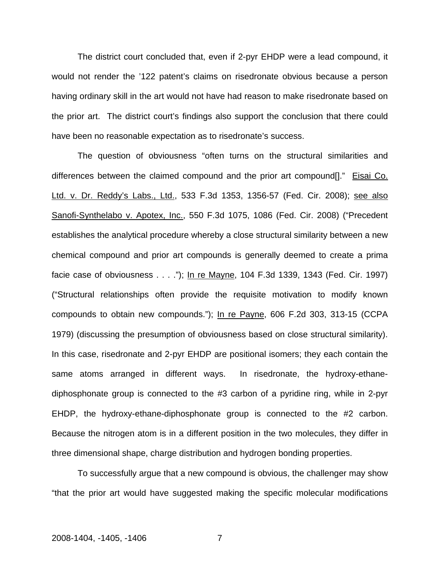The district court concluded that, even if 2-pyr EHDP were a lead compound, it would not render the '122 patent's claims on risedronate obvious because a person having ordinary skill in the art would not have had reason to make risedronate based on the prior art. The district court's findings also support the conclusion that there could have been no reasonable expectation as to risedronate's success.

The question of obviousness "often turns on the structural similarities and differences between the claimed compound and the prior art compound[]." Eisai Co. Ltd. v. Dr. Reddy's Labs., Ltd., 533 F.3d 1353, 1356-57 (Fed. Cir. 2008); see also Sanofi-Synthelabo v. Apotex, Inc., 550 F.3d 1075, 1086 (Fed. Cir. 2008) ("Precedent establishes the analytical procedure whereby a close structural similarity between a new chemical compound and prior art compounds is generally deemed to create a prima facie case of obviousness . . . ."); In re Mayne, 104 F.3d 1339, 1343 (Fed. Cir. 1997) ("Structural relationships often provide the requisite motivation to modify known compounds to obtain new compounds."); In re Payne, 606 F.2d 303, 313-15 (CCPA 1979) (discussing the presumption of obviousness based on close structural similarity). In this case, risedronate and 2-pyr EHDP are positional isomers; they each contain the same atoms arranged in different ways. In risedronate, the hydroxy-ethanediphosphonate group is connected to the #3 carbon of a pyridine ring, while in 2-pyr EHDP, the hydroxy-ethane-diphosphonate group is connected to the #2 carbon. Because the nitrogen atom is in a different position in the two molecules, they differ in three dimensional shape, charge distribution and hydrogen bonding properties.

To successfully argue that a new compound is obvious, the challenger may show "that the prior art would have suggested making the specific molecular modifications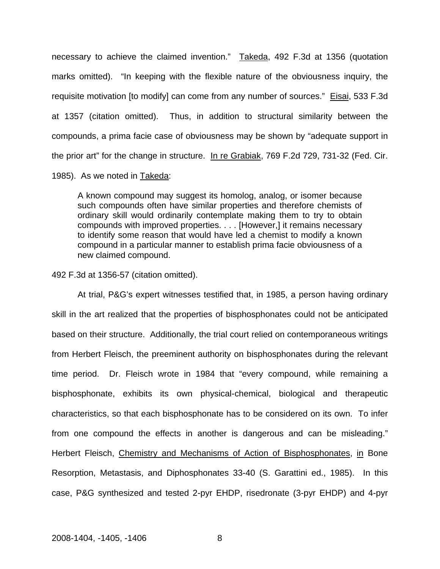necessary to achieve the claimed invention." Takeda, 492 F.3d at 1356 (quotation marks omitted). "In keeping with the flexible nature of the obviousness inquiry, the requisite motivation [to modify] can come from any number of sources." Eisai, 533 F.3d at 1357 (citation omitted). Thus, in addition to structural similarity between the compounds, a prima facie case of obviousness may be shown by "adequate support in the prior art" for the change in structure. In re Grabiak, 769 F.2d 729, 731-32 (Fed. Cir.

1985). As we noted in Takeda:

A known compound may suggest its homolog, analog, or isomer because such compounds often have similar properties and therefore chemists of ordinary skill would ordinarily contemplate making them to try to obtain compounds with improved properties. . . . [However,] it remains necessary to identify some reason that would have led a chemist to modify a known compound in a particular manner to establish prima facie obviousness of a new claimed compound.

492 F.3d at 1356-57 (citation omitted).

At trial, P&G's expert witnesses testified that, in 1985, a person having ordinary skill in the art realized that the properties of bisphosphonates could not be anticipated based on their structure. Additionally, the trial court relied on contemporaneous writings from Herbert Fleisch, the preeminent authority on bisphosphonates during the relevant time period. Dr. Fleisch wrote in 1984 that "every compound, while remaining a bisphosphonate, exhibits its own physical-chemical, biological and therapeutic characteristics, so that each bisphosphonate has to be considered on its own. To infer from one compound the effects in another is dangerous and can be misleading." Herbert Fleisch, Chemistry and Mechanisms of Action of Bisphosphonates, in Bone Resorption, Metastasis, and Diphosphonates 33-40 (S. Garattini ed., 1985). In this case, P&G synthesized and tested 2-pyr EHDP, risedronate (3-pyr EHDP) and 4-pyr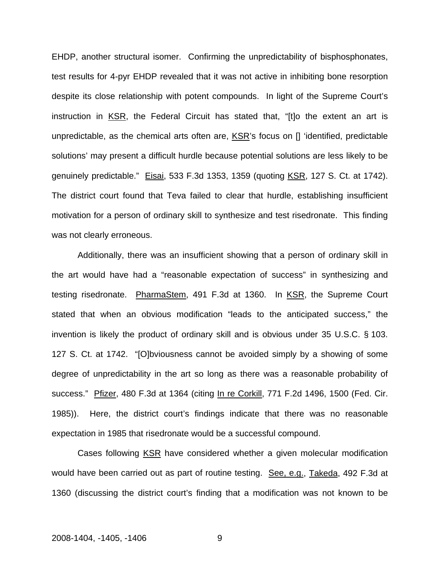EHDP, another structural isomer. Confirming the unpredictability of bisphosphonates, test results for 4-pyr EHDP revealed that it was not active in inhibiting bone resorption despite its close relationship with potent compounds. In light of the Supreme Court's instruction in KSR, the Federal Circuit has stated that, "[t]o the extent an art is unpredictable, as the chemical arts often are, KSR's focus on [] 'identified, predictable solutions' may present a difficult hurdle because potential solutions are less likely to be genuinely predictable." Eisai, 533 F.3d 1353, 1359 (quoting KSR, 127 S. Ct. at 1742). The district court found that Teva failed to clear that hurdle, establishing insufficient motivation for a person of ordinary skill to synthesize and test risedronate. This finding was not clearly erroneous.

Additionally, there was an insufficient showing that a person of ordinary skill in the art would have had a "reasonable expectation of success" in synthesizing and testing risedronate. PharmaStem, 491 F.3d at 1360. In KSR, the Supreme Court stated that when an obvious modification "leads to the anticipated success," the invention is likely the product of ordinary skill and is obvious under 35 U.S.C. § 103. 127 S. Ct. at 1742. "[O]bviousness cannot be avoided simply by a showing of some degree of unpredictability in the art so long as there was a reasonable probability of success." Pfizer, 480 F.3d at 1364 (citing In re Corkill, 771 F.2d 1496, 1500 (Fed. Cir. 1985)). Here, the district court's findings indicate that there was no reasonable expectation in 1985 that risedronate would be a successful compound.

Cases following KSR have considered whether a given molecular modification would have been carried out as part of routine testing. See, e.g., Takeda, 492 F.3d at 1360 (discussing the district court's finding that a modification was not known to be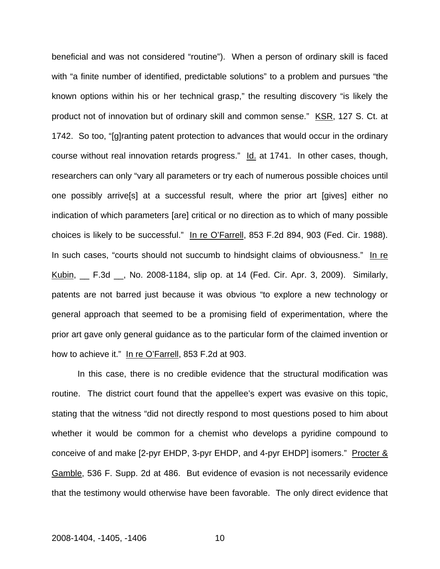beneficial and was not considered "routine"). When a person of ordinary skill is faced with "a finite number of identified, predictable solutions" to a problem and pursues "the known options within his or her technical grasp," the resulting discovery "is likely the product not of innovation but of ordinary skill and common sense." KSR, 127 S. Ct. at 1742. So too, "[g]ranting patent protection to advances that would occur in the ordinary course without real innovation retards progress." Id. at 1741. In other cases, though, researchers can only "vary all parameters or try each of numerous possible choices until one possibly arrive[s] at a successful result, where the prior art [gives] either no indication of which parameters [are] critical or no direction as to which of many possible choices is likely to be successful." In re O'Farrell, 853 F.2d 894, 903 (Fed. Cir. 1988). In such cases, "courts should not succumb to hindsight claims of obviousness." In re Kubin, \_\_ F.3d \_\_, No. 2008-1184, slip op. at 14 (Fed. Cir. Apr. 3, 2009). Similarly, patents are not barred just because it was obvious "to explore a new technology or general approach that seemed to be a promising field of experimentation, where the prior art gave only general guidance as to the particular form of the claimed invention or how to achieve it." In re O'Farrell, 853 F.2d at 903.

In this case, there is no credible evidence that the structural modification was routine. The district court found that the appellee's expert was evasive on this topic, stating that the witness "did not directly respond to most questions posed to him about whether it would be common for a chemist who develops a pyridine compound to conceive of and make [2-pyr EHDP, 3-pyr EHDP, and 4-pyr EHDP] isomers." Procter & Gamble, 536 F. Supp. 2d at 486. But evidence of evasion is not necessarily evidence that the testimony would otherwise have been favorable. The only direct evidence that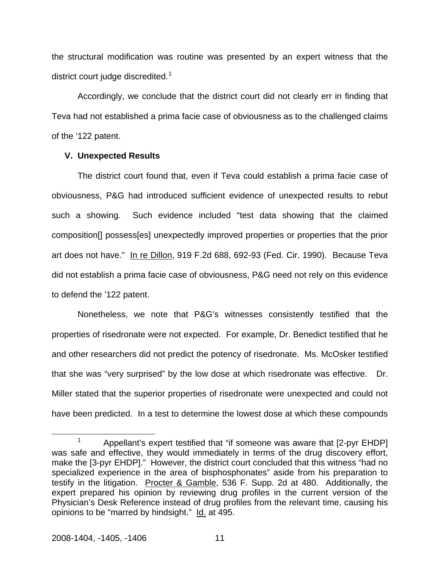the structural modification was routine was presented by an expert witness that the district court judge discredited. $1$ 

Accordingly, we conclude that the district court did not clearly err in finding that Teva had not established a prima facie case of obviousness as to the challenged claims of the '122 patent.

### **V. Unexpected Results**

The district court found that, even if Teva could establish a prima facie case of obviousness, P&G had introduced sufficient evidence of unexpected results to rebut such a showing. Such evidence included "test data showing that the claimed composition[] possess[es] unexpectedly improved properties or properties that the prior art does not have." In re Dillon, 919 F.2d 688, 692-93 (Fed. Cir. 1990). Because Teva did not establish a prima facie case of obviousness, P&G need not rely on this evidence to defend the '122 patent.

Nonetheless, we note that P&G's witnesses consistently testified that the properties of risedronate were not expected. For example, Dr. Benedict testified that he and other researchers did not predict the potency of risedronate. Ms. McOsker testified that she was "very surprised" by the low dose at which risedronate was effective. Dr. Miller stated that the superior properties of risedronate were unexpected and could not have been predicted. In a test to determine the lowest dose at which these compounds

<span id="page-11-0"></span> <sup>1</sup> <sup>1</sup> Appellant's expert testified that "if someone was aware that  $[2$ -pyr EHDP] was safe and effective, they would immediately in terms of the drug discovery effort, make the [3-pyr EHDP]." However, the district court concluded that this witness "had no specialized experience in the area of bisphosphonates" aside from his preparation to testify in the litigation. Procter & Gamble, 536 F. Supp. 2d at 480. Additionally, the expert prepared his opinion by reviewing drug profiles in the current version of the Physician's Desk Reference instead of drug profiles from the relevant time, causing his opinions to be "marred by hindsight." Id. at 495.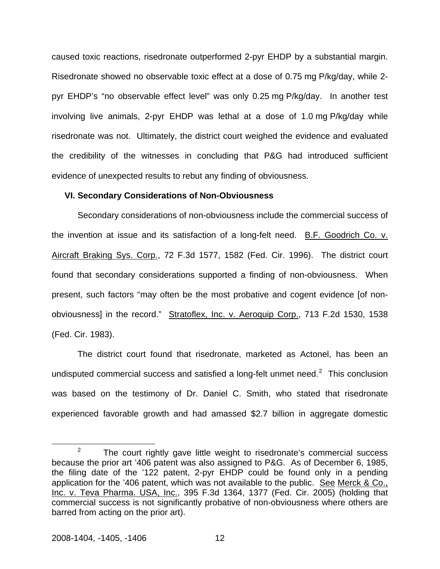caused toxic reactions, risedronate outperformed 2-pyr EHDP by a substantial margin. Risedronate showed no observable toxic effect at a dose of 0.75 mg P/kg/day, while 2 pyr EHDP's "no observable effect level" was only 0.25 mg P/kg/day. In another test involving live animals, 2-pyr EHDP was lethal at a dose of 1.0 mg P/kg/day while risedronate was not. Ultimately, the district court weighed the evidence and evaluated the credibility of the witnesses in concluding that P&G had introduced sufficient evidence of unexpected results to rebut any finding of obviousness.

#### **VI. Secondary Considerations of Non-Obviousness**

Secondary considerations of non-obviousness include the commercial success of the invention at issue and its satisfaction of a long-felt need. B.F. Goodrich Co. v. Aircraft Braking Sys. Corp., 72 F.3d 1577, 1582 (Fed. Cir. 1996). The district court found that secondary considerations supported a finding of non-obviousness. When present, such factors "may often be the most probative and cogent evidence [of nonobviousness] in the record." Stratoflex, Inc. v. Aeroquip Corp., 713 F.2d 1530, 1538 (Fed. Cir. 1983).

The district court found that risedronate, marketed as Actonel, has been an undisputed commercial success and satisfied a long-felt unmet need. $2$  This conclusion was based on the testimony of Dr. Daniel C. Smith, who stated that risedronate experienced favorable growth and had amassed \$2.7 billion in aggregate domestic

<span id="page-12-0"></span> $\frac{1}{2}$  $2^2$  The court rightly gave little weight to risedronate's commercial success because the prior art '406 patent was also assigned to P&G. As of December 6, 1985, the filing date of the '122 patent, 2-pyr EHDP could be found only in a pending application for the '406 patent, which was not available to the public. See Merck & Co., Inc. v. Teva Pharma. USA, Inc., 395 F.3d 1364, 1377 (Fed. Cir. 2005) (holding that commercial success is not significantly probative of non-obviousness where others are barred from acting on the prior art).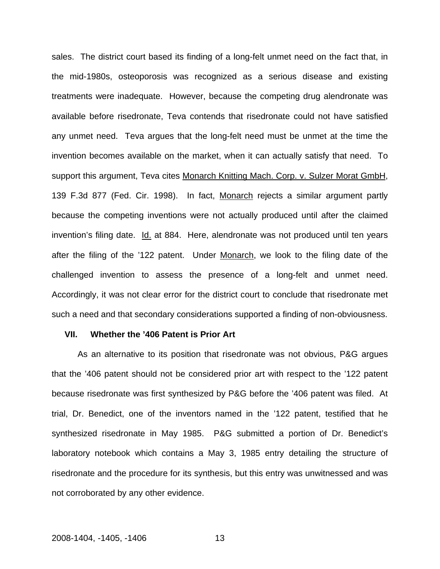sales. The district court based its finding of a long-felt unmet need on the fact that, in the mid-1980s, osteoporosis was recognized as a serious disease and existing treatments were inadequate. However, because the competing drug alendronate was available before risedronate, Teva contends that risedronate could not have satisfied any unmet need. Teva argues that the long-felt need must be unmet at the time the invention becomes available on the market, when it can actually satisfy that need. To support this argument, Teva cites Monarch Knitting Mach. Corp. v. Sulzer Morat GmbH, 139 F.3d 877 (Fed. Cir. 1998). In fact, Monarch rejects a similar argument partly because the competing inventions were not actually produced until after the claimed invention's filing date. Id. at 884. Here, alendronate was not produced until ten years after the filing of the '122 patent. Under Monarch, we look to the filing date of the challenged invention to assess the presence of a long-felt and unmet need. Accordingly, it was not clear error for the district court to conclude that risedronate met such a need and that secondary considerations supported a finding of non-obviousness.

#### **VII. Whether the '406 Patent is Prior Art**

As an alternative to its position that risedronate was not obvious, P&G argues that the '406 patent should not be considered prior art with respect to the '122 patent because risedronate was first synthesized by P&G before the '406 patent was filed. At trial, Dr. Benedict, one of the inventors named in the '122 patent, testified that he synthesized risedronate in May 1985. P&G submitted a portion of Dr. Benedict's laboratory notebook which contains a May 3, 1985 entry detailing the structure of risedronate and the procedure for its synthesis, but this entry was unwitnessed and was not corroborated by any other evidence.

### 2008-1404, -1405, -1406 13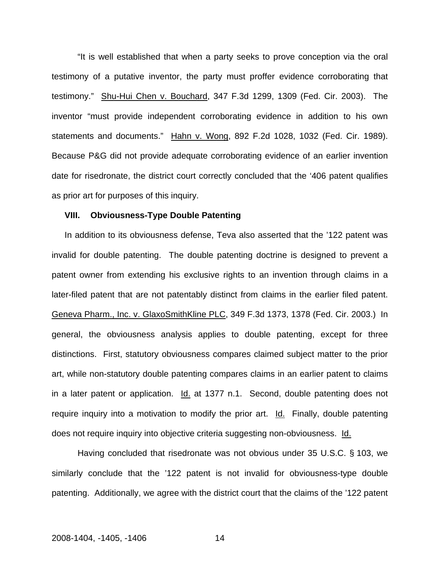"It is well established that when a party seeks to prove conception via the oral testimony of a putative inventor, the party must proffer evidence corroborating that testimony." Shu-Hui Chen v. Bouchard, 347 F.3d 1299, 1309 (Fed. Cir. 2003). The inventor "must provide independent corroborating evidence in addition to his own statements and documents." Hahn v. Wong, 892 F.2d 1028, 1032 (Fed. Cir. 1989). Because P&G did not provide adequate corroborating evidence of an earlier invention date for risedronate, the district court correctly concluded that the '406 patent qualifies as prior art for purposes of this inquiry.

#### **VIII. Obviousness-Type Double Patenting**

In addition to its obviousness defense, Teva also asserted that the '122 patent was invalid for double patenting. The double patenting doctrine is designed to prevent a patent owner from extending his exclusive rights to an invention through claims in a later-filed patent that are not patentably distinct from claims in the earlier filed patent. Geneva Pharm., Inc. v. GlaxoSmithKline PLC, 349 F.3d 1373, 1378 (Fed. Cir. 2003.) In general, the obviousness analysis applies to double patenting, except for three distinctions. First, statutory obviousness compares claimed subject matter to the prior art, while non-statutory double patenting compares claims in an earlier patent to claims in a later patent or application. Id. at 1377 n.1. Second, double patenting does not require inquiry into a motivation to modify the prior art. Id. Finally, double patenting does not require inquiry into objective criteria suggesting non-obviousness. Id.

Having concluded that risedronate was not obvious under 35 U.S.C. § 103, we similarly conclude that the '122 patent is not invalid for obviousness-type double patenting. Additionally, we agree with the district court that the claims of the '122 patent